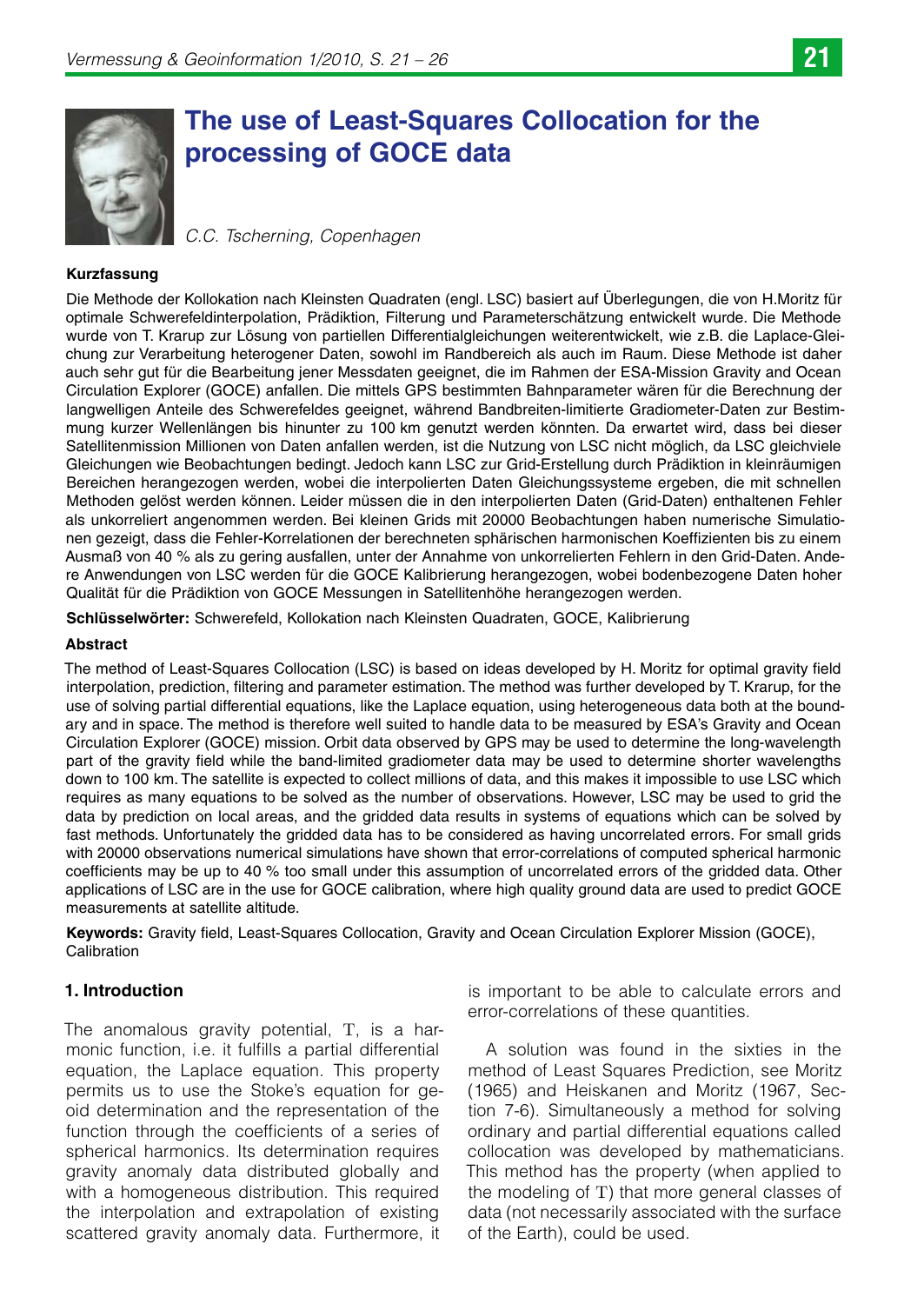# **The use of Least-Squares Collocation for the processing of GOCE data**

*C.C. Tscherning, Copenhagen* 

#### **Kurzfassung**

Die Methode der Kollokation nach Kleinsten Quadraten (engl. LSC) basiert auf Überlegungen, die von H.Moritz für optimale Schwerefeldinterpolation, Prädiktion, Filterung und Parameterschätzung entwickelt wurde. Die Methode wurde von T. Krarup zur Lösung von partiellen Differentialgleichungen weiterentwickelt, wie z.B. die Laplace-Gleichung zur Verarbeitung heterogener Daten, sowohl im Randbereich als auch im Raum. Diese Methode ist daher auch sehr gut für die Bearbeitung jener Messdaten geeignet, die im Rahmen der ESA-Mission Gravity and Ocean Circulation Explorer (GOCE) anfallen. Die mittels GPS bestimmten Bahnparameter wären für die Berechnung der langwelligen Anteile des Schwerefeldes geeignet, während Bandbreiten-limitierte Gradiometer-Daten zur Bestimmung kurzer Wellenlängen bis hinunter zu 100 km genutzt werden könnten. Da erwartet wird, dass bei dieser Satellitenmission Millionen von Daten anfallen werden, ist die Nutzung von LSC nicht möglich, da LSC gleichviele Gleichungen wie Beobachtungen bedingt. Jedoch kann LSC zur Grid-Erstellung durch Prädiktion in kleinräumigen Bereichen herangezogen werden, wobei die interpolierten Daten Gleichungssysteme ergeben, die mit schnellen Methoden gelöst werden können. Leider müssen die in den interpolierten Daten (Grid-Daten) enthaltenen Fehler als unkorreliert angenommen werden. Bei kleinen Grids mit 20000 Beobachtungen haben numerische Simulationen gezeigt, dass die Fehler-Korrelationen der berechneten sphärischen harmonischen Koeffizienten bis zu einem Ausmaß von 40 % als zu gering ausfallen, unter der Annahme von unkorrelierten Fehlern in den Grid-Daten. Andere Anwendungen von LSC werden für die GOCE Kalibrierung herangezogen, wobei bodenbezogene Daten hoher Qualität für die Prädiktion von GOCE Messungen in Satellitenhöhe herangezogen werden.

**Schlüsselwörter:** Schwerefeld, Kollokation nach Kleinsten Quadraten, GOCE, Kalibrierung

#### **Abstract**

The method of Least-Squares Collocation (LSC) is based on ideas developed by H. Moritz for optimal gravity field interpolation, prediction, filtering and parameter estimation. The method was further developed by T. Krarup, for the use of solving partial differential equations, like the Laplace equation, using heterogeneous data both at the boundary and in space. The method is therefore well suited to handle data to be measured by ESA's Gravity and Ocean Circulation Explorer (GOCE) mission. Orbit data observed by GPS may be used to determine the long-wavelength part of the gravity field while the band-limited gradiometer data may be used to determine shorter wavelengths down to 100 km. The satellite is expected to collect millions of data, and this makes it impossible to use LSC which requires as many equations to be solved as the number of observations. However, LSC may be used to grid the data by prediction on local areas, and the gridded data results in systems of equations which can be solved by fast methods. Unfortunately the gridded data has to be considered as having uncorrelated errors. For small grids with 20000 observations numerical simulations have shown that error-correlations of computed spherical harmonic coefficients may be up to 40 % too small under this assumption of uncorrelated errors of the gridded data. Other applications of LSC are in the use for GOCE calibration, where high quality ground data are used to predict GOCE measurements at satellite altitude.

**Keywords:** Gravity field, Least-Squares Collocation, Gravity and Ocean Circulation Explorer Mission (GOCE), Calibration

### **1. Introduction**

The anomalous gravity potential, T, is a harmonic function, i.e. it fulfills a partial differential equation, the Laplace equation. This property permits us to use the Stoke's equation for geoid determination and the representation of the function through the coefficients of a series of spherical harmonics. Its determination requires gravity anomaly data distributed globally and with a homogeneous distribution. This required the interpolation and extrapolation of existing scattered gravity anomaly data. Furthermore, it

is important to be able to calculate errors and error-correlations of these quantities.

A solution was found in the sixties in the method of Least Squares Prediction, see Moritz (1965) and Heiskanen and Moritz (1967, Section 7-6). Simultaneously a method for solving ordinary and partial differential equations called collocation was developed by mathematicians. This method has the property (when applied to the modeling of T) that more general classes of data (not necessarily associated with the surface of the Earth), could be used.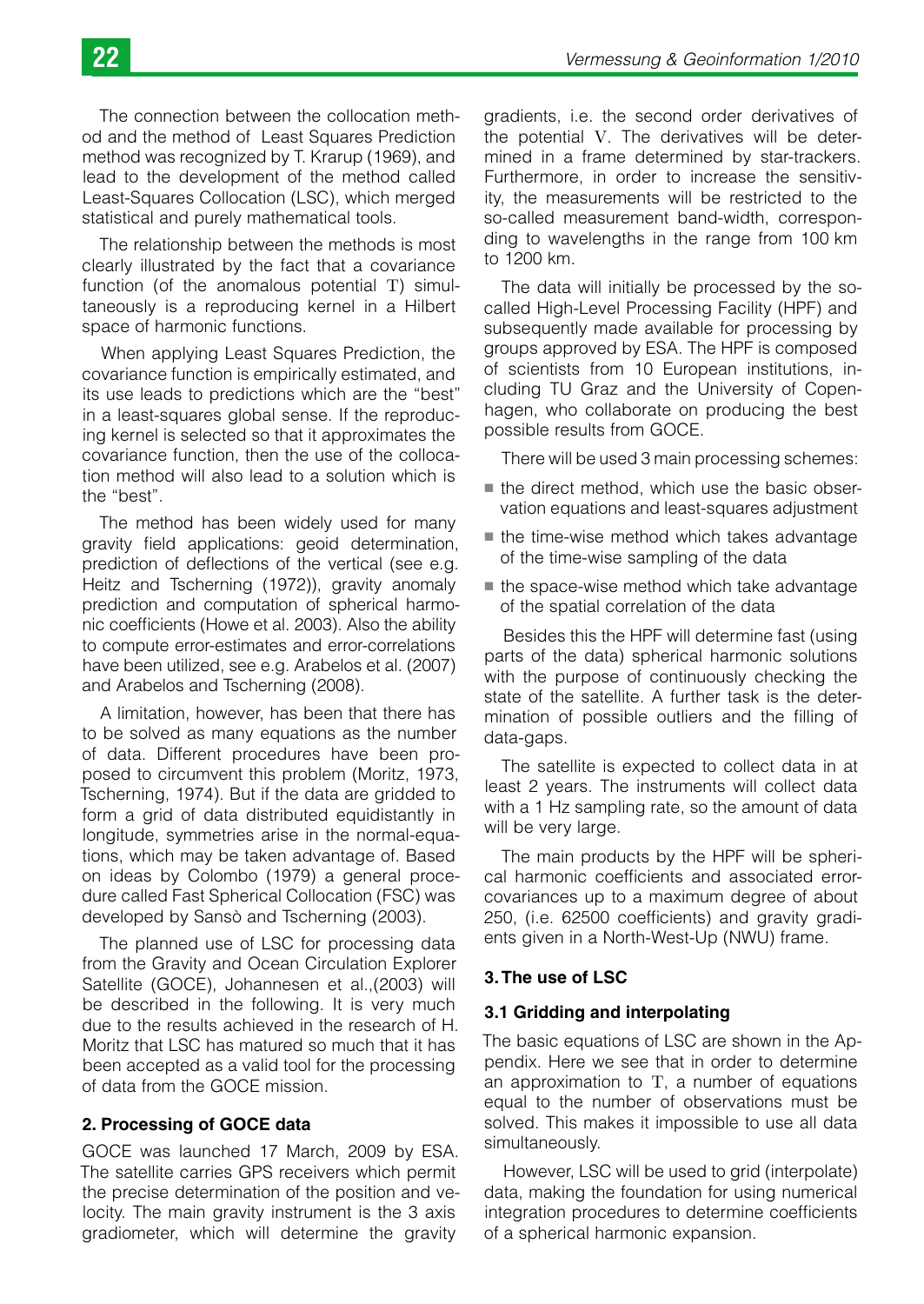The connection between the collocation method and the method of Least Squares Prediction method was recognized by T. Krarup (1969), and lead to the development of the method called Least-Squares Collocation (LSC), which merged statistical and purely mathematical tools.

The relationship between the methods is most clearly illustrated by the fact that a covariance function (of the anomalous potential T) simultaneously is a reproducing kernel in a Hilbert space of harmonic functions.

When applying Least Squares Prediction, the covariance function is empirically estimated, and its use leads to predictions which are the "best" in a least-squares global sense. If the reproducing kernel is selected so that it approximates the covariance function, then the use of the collocation method will also lead to a solution which is the "best".

The method has been widely used for many gravity field applications: geoid determination, prediction of deflections of the vertical (see e.g. Heitz and Tscherning (1972)), gravity anomaly prediction and computation of spherical harmonic coefficients (Howe et al. 2003). Also the ability to compute error-estimates and error-correlations have been utilized, see e.g. Arabelos et al. (2007) and Arabelos and Tscherning (2008).

A limitation, however, has been that there has to be solved as many equations as the number of data. Different procedures have been proposed to circumvent this problem (Moritz, 1973, Tscherning, 1974). But if the data are gridded to form a grid of data distributed equidistantly in longitude, symmetries arise in the normal-equations, which may be taken advantage of. Based on ideas by Colombo (1979) a general procedure called Fast Spherical Collocation (FSC) was developed by Sansò and Tscherning (2003).

The planned use of LSC for processing data from the Gravity and Ocean Circulation Explorer Satellite (GOCE), Johannesen et al.,(2003) will be described in the following. It is very much due to the results achieved in the research of H. Moritz that LSC has matured so much that it has been accepted as a valid tool for the processing of data from the GOCE mission.

## **2. Processing of GOCE data**

GOCE was launched 17 March, 2009 by ESA. The satellite carries GPS receivers which permit the precise determination of the position and velocity. The main gravity instrument is the 3 axis gradiometer, which will determine the gravity

gradients, i.e. the second order derivatives of the potential V. The derivatives will be determined in a frame determined by star-trackers. Furthermore, in order to increase the sensitivity, the measurements will be restricted to the so-called measurement band-width, corresponding to wavelengths in the range from 100 km to 1200 km.

The data will initially be processed by the socalled High-Level Processing Facility (HPF) and subsequently made available for processing by groups approved by ESA. The HPF is composed of scientists from 10 European institutions, including TU Graz and the University of Copenhagen, who collaborate on producing the best possible results from GOCE.

There will be used 3 main processing schemes:

- the direct method, which use the basic observation equations and least-squares adjustment
- $\blacksquare$  the time-wise method which takes advantage of the time-wise sampling of the data
- $\blacksquare$  the space-wise method which take advantage of the spatial correlation of the data

Besides this the HPF will determine fast (using parts of the data) spherical harmonic solutions with the purpose of continuously checking the state of the satellite. A further task is the determination of possible outliers and the filling of data-gaps.

The satellite is expected to collect data in at least 2 years. The instruments will collect data with a 1 Hz sampling rate, so the amount of data will be very large.

The main products by the HPF will be spherical harmonic coefficients and associated errorcovariances up to a maximum degree of about 250, (i.e. 62500 coefficients) and gravity gradients given in a North-West-Up (NWU) frame.

## **3. The use of LSC**

## **3.1 Gridding and interpolating**

The basic equations of LSC are shown in the Appendix. Here we see that in order to determine an approximation to T, a number of equations equal to the number of observations must be solved. This makes it impossible to use all data simultaneously.

However, LSC will be used to grid (interpolate) data, making the foundation for using numerical integration procedures to determine coefficients of a spherical harmonic expansion.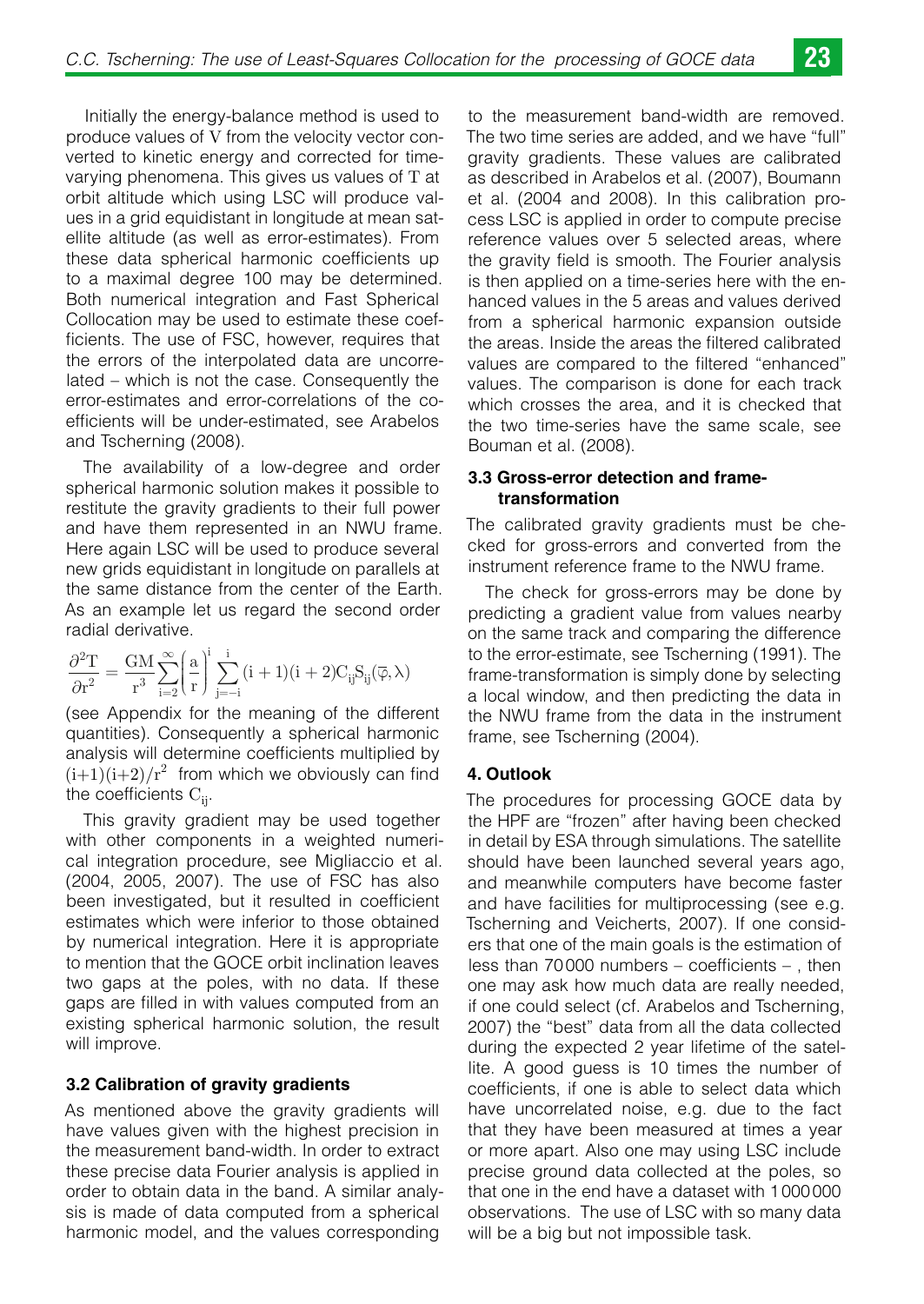Initially the energy-balance method is used to produce values of V from the velocity vector converted to kinetic energy and corrected for timevarying phenomena. This gives us values of T at orbit altitude which using LSC will produce values in a grid equidistant in longitude at mean satellite altitude (as well as error-estimates). From these data spherical harmonic coefficients up to a maximal degree 100 may be determined. Both numerical integration and Fast Spherical Collocation may be used to estimate these coefficients. The use of FSC, however, requires that the errors of the interpolated data are uncorrelated – which is not the case. Consequently the error-estimates and error-correlations of the coefficients will be under-estimated, see Arabelos and Tscherning (2008).

The availability of a low-degree and order spherical harmonic solution makes it possible to restitute the gravity gradients to their full power and have them represented in an NWU frame. Here again LSC will be used to produce several new grids equidistant in longitude on parallels at the same distance from the center of the Earth. As an example let us regard the second order radial derivative.

$$
\frac{\partial^2 T}{\partial r^2} = \frac{GM}{r^3} \sum_{i=2}^\infty \biggl(\frac{a}{r}\biggr)^i \sum_{j=-i}^i (i+1)(i+2) C_{ij} S_{ij}(\overline{\phi},\lambda)
$$

(see Appendix for the meaning of the different quantities). Consequently a spherical harmonic analysis will determine coefficients multiplied by  $(i+1)(i+2)/r^2$  from which we obviously can find the coefficients  $C_{ii}$ .

This gravity gradient may be used together with other components in a weighted numerical integration procedure, see Migliaccio et al. (2004, 2005, 2007). The use of FSC has also been investigated, but it resulted in coefficient estimates which were inferior to those obtained by numerical integration. Here it is appropriate to mention that the GOCE orbit inclination leaves two gaps at the poles, with no data. If these gaps are filled in with values computed from an existing spherical harmonic solution, the result will improve.

#### **3.2 Calibration of gravity gradients**

As mentioned above the gravity gradients will have values given with the highest precision in the measurement band-width. In order to extract these precise data Fourier analysis is applied in order to obtain data in the band. A similar analysis is made of data computed from a spherical harmonic model, and the values corresponding

to the measurement band-width are removed. The two time series are added, and we have "full" gravity gradients. These values are calibrated as described in Arabelos et al. (2007), Boumann et al. (2004 and 2008). In this calibration process LSC is applied in order to compute precise reference values over 5 selected areas, where the gravity field is smooth. The Fourier analysis is then applied on a time-series here with the enhanced values in the 5 areas and values derived from a spherical harmonic expansion outside the areas. Inside the areas the filtered calibrated values are compared to the filtered "enhanced" values. The comparison is done for each track which crosses the area, and it is checked that the two time-series have the same scale, see Bouman et al. (2008).

### **3.3 Gross-error detection and frametransformation**

The calibrated gravity gradients must be checked for gross-errors and converted from the instrument reference frame to the NWU frame.

The check for gross-errors may be done by predicting a gradient value from values nearby on the same track and comparing the difference to the error-estimate, see Tscherning (1991). The frame-transformation is simply done by selecting a local window, and then predicting the data in the NWU frame from the data in the instrument frame, see Tscherning (2004).

#### **4. Outlook**

The procedures for processing GOCE data by the HPF are "frozen" after having been checked in detail by ESA through simulations. The satellite should have been launched several years ago, and meanwhile computers have become faster and have facilities for multiprocessing (see e.g. Tscherning and Veicherts, 2007). If one considers that one of the main goals is the estimation of less than 70 000 numbers – coefficients – , then one may ask how much data are really needed, if one could select (cf. Arabelos and Tscherning, 2007) the "best" data from all the data collected during the expected 2 year lifetime of the satellite. A good guess is 10 times the number of coefficients, if one is able to select data which have uncorrelated noise, e.g. due to the fact that they have been measured at times a year or more apart. Also one may using LSC include precise ground data collected at the poles, so that one in the end have a dataset with 1 000 000 observations. The use of LSC with so many data will be a big but not impossible task.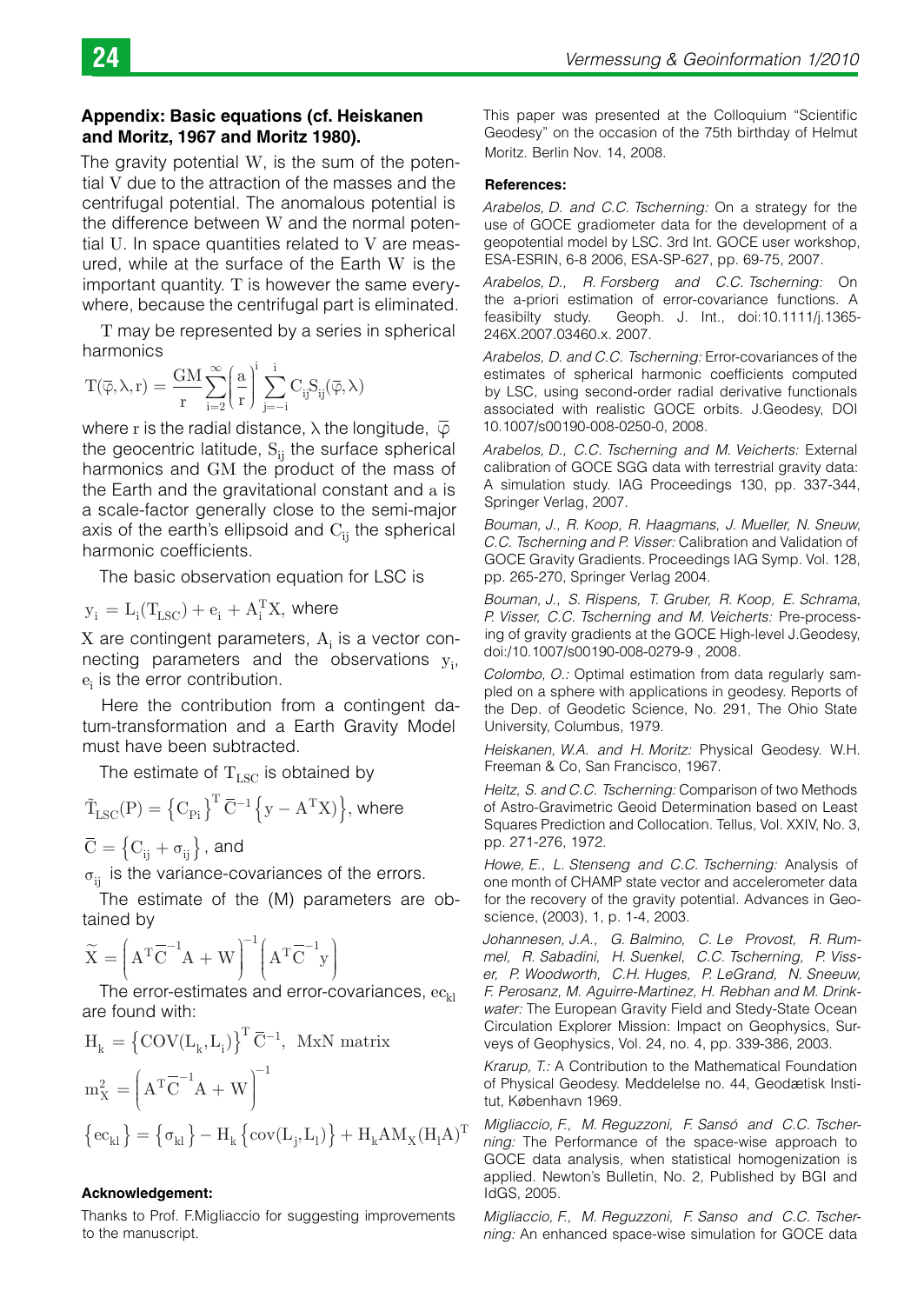#### **Appendix: Basic equations (cf. Heiskanen and Moritz, 1967 and Moritz 1980).**

The gravity potential W, is the sum of the potential V due to the attraction of the masses and the centrifugal potential. The anomalous potential is the difference between W and the normal potential U. In space quantities related to V are measured, while at the surface of the Earth W is the important quantity.  $T$  is however the same everywhere, because the centrifugal part is eliminated.

T may be represented by a series in spherical harmonics

$$
T(\overline{\phi},\lambda,r)=\frac{GM}{r}\!\sum_{i=2}^{\infty}\!\left(\!\frac{a}{r}\!\right)^{\!\!i}\sum_{j=-i}^{i}\!C_{ij}\!S_{ij}(\overline{\phi},\lambda)
$$

where r is the radial distance,  $\lambda$  the longitude,  $\overline{\varphi}$ the geocentric latitude,  $S<sub>ii</sub>$  the surface spherical harmonics and GM the product of the mass of the Earth and the gravitational constant and a is a scale-factor generally close to the semi-major axis of the earth's ellipsoid and  $C_{ii}$  the spherical harmonic coefficients.

The basic observation equation for LSC is

$$
\mathbf{y}_i = \mathbf{L}_i(\mathbf{T}_{LSC}) + \mathbf{e}_i + \mathbf{A}_i^{\mathrm{T}} \mathbf{X}, \text{ where}
$$

 $X$  are contingent parameters,  $A_i$  is a vector connecting parameters and the observations  $y_i$ ,  $\mathrm{e_{i}}$  is the error contribution.

Here the contribution from a contingent datum-transformation and a Earth Gravity Model must have been subtracted.

The estimate of  $T_{LSC}$  is obtained by

$$
\tilde{T}_{LSC}(P) = \left\{C_{Pi}\right\}^T \overline{C}^{-1} \left\{y - A^T X \right\}, \text{where}
$$

 $\overline{C} = \left\{ C_{ii} + \sigma_{ii} \right\}$ , and

 $\sigma_{ii}$  is the variance-covariances of the errors.

The estimate of the (M) parameters are obtained by

$$
\widetilde{\mathbf{X}} = \left(\mathbf{A}^{\mathrm{T}} \overline{\mathbf{C}}^{-1} \mathbf{A} + \mathbf{W}\right)^{-1} \left(\mathbf{A}^{\mathrm{T}} \overline{\mathbf{C}}^{-1} \mathbf{y}\right)
$$

The error-estimates and error-covariances,  $ec_{kl}$ are found with:

$$
\begin{aligned} &H_k = \left\{\mathrm{COV}(L_k, L_i)\right\}^T \overline{C}^{-1}, ~ \mathrm{MxN} ~ \mathrm{matrix} \\ &m_X^2 = \left(A^T \overline{C}^{-1} A + W\right)^{-1} \\ &\left\{\mathrm{ec}_{kl}\right\} = \left\{\sigma_{kl}\right\} - H_k \left\{\mathrm{cov}(L_j, L_l)\right\} + H_k A M_X (H_l A)^T \end{aligned}
$$

#### **Acknowledgement:**

Thanks to Prof. F.Migliaccio for suggesting improvements to the manuscript.

This paper was presented at the Colloquium "Scientific Geodesy" on the occasion of the 75th birthday of Helmut Moritz. Berlin Nov. 14, 2008.

#### **References:**

*Arabelos, D. and C.C. Tscherning:* On a strategy for the use of GOCE gradiometer data for the development of a geopotential model by LSC. 3rd Int. GOCE user workshop, ESA-ESRIN, 6-8 2006, ESA-SP-627, pp. 69-75, 2007.

*Arabelos, D., R. Forsberg and C.C. Tscherning:* On the a-priori estimation of error-covariance functions. A feasibilty study. Geoph. J. Int., doi:10.1111/j.1365- 246X.2007.03460.x. 2007.

*Arabelos, D. and C.C. Tscherning:* Error-covariances of the estimates of spherical harmonic coefficients computed by LSC, using second-order radial derivative functionals associated with realistic GOCE orbits. J.Geodesy, DOI 10.1007/s00190-008-0250-0, 2008.

*Arabelos, D., C.C. Tscherning and M. Veicherts:* External calibration of GOCE SGG data with terrestrial gravity data: A simulation study. IAG Proceedings 130, pp. 337-344, Springer Verlag, 2007.

*Bouman, J., R. Koop, R. Haagmans, J. Mueller, N. Sneuw, C.C. Tscherning and P. Visser:* Calibration and Validation of GOCE Gravity Gradients. Proceedings IAG Symp. Vol. 128, pp. 265-270, Springer Verlag 2004.

*Bouman, J., S. Rispens, T. Gruber, R. Koop, E. Schrama, P. Visser, C.C. Tscherning and M. Veicherts:* Pre-processing of gravity gradients at the GOCE High-level J.Geodesy, doi:/10.1007/s00190-008-0279-9 , 2008.

*Colombo, O.:* Optimal estimation from data regularly sampled on a sphere with applications in geodesy. Reports of the Dep. of Geodetic Science, No. 291, The Ohio State University, Columbus, 1979.

*Heiskanen, W.A. and H. Moritz:* Physical Geodesy. W.H. Freeman & Co, San Francisco, 1967.

*Heitz, S. and C.C. Tscherning:* Comparison of two Methods of Astro-Gravimetric Geoid Determination based on Least Squares Prediction and Collocation. Tellus, Vol. XXIV, No. 3, pp. 271-276, 1972.

*Howe, E., L. Stenseng and C.C. Tscherning:* Analysis of one month of CHAMP state vector and accelerometer data for the recovery of the gravity potential. Advances in Geoscience, (2003), 1, p. 1-4, 2003.

*Johannesen, J.A., G. Balmino, C. Le Provost, R. Rummel, R. Sabadini, H. Suenkel, C.C. Tscherning, P. Visser, P. Woodworth, C.H. Huges, P. LeGrand, N. Sneeuw,*  F. Perosanz, M. Aguirre-Martinez, H. Rebhan and M. Drink*water:* The European Gravity Field and Stedy-State Ocean Circulation Explorer Mission: Impact on Geophysics, Surveys of Geophysics, Vol. 24, no. 4, pp. 339-386, 2003.

*Krarup, T.:* A Contribution to the Mathematical Foundation of Physical Geodesy. Meddelelse no. 44, Geodætisk Institut, København 1969.

*Migliaccio, F., M. Reguzzoni, F. Sansó and C.C. Tscherning:* The Performance of the space-wise approach to GOCE data analysis, when statistical homogenization is applied. Newton's Bulletin, No. 2, Published by BGI and IdGS, 2005.

*Migliaccio, F., M. Reguzzoni, F. Sanso and C.C. Tscherning:* An enhanced space-wise simulation for GOCE data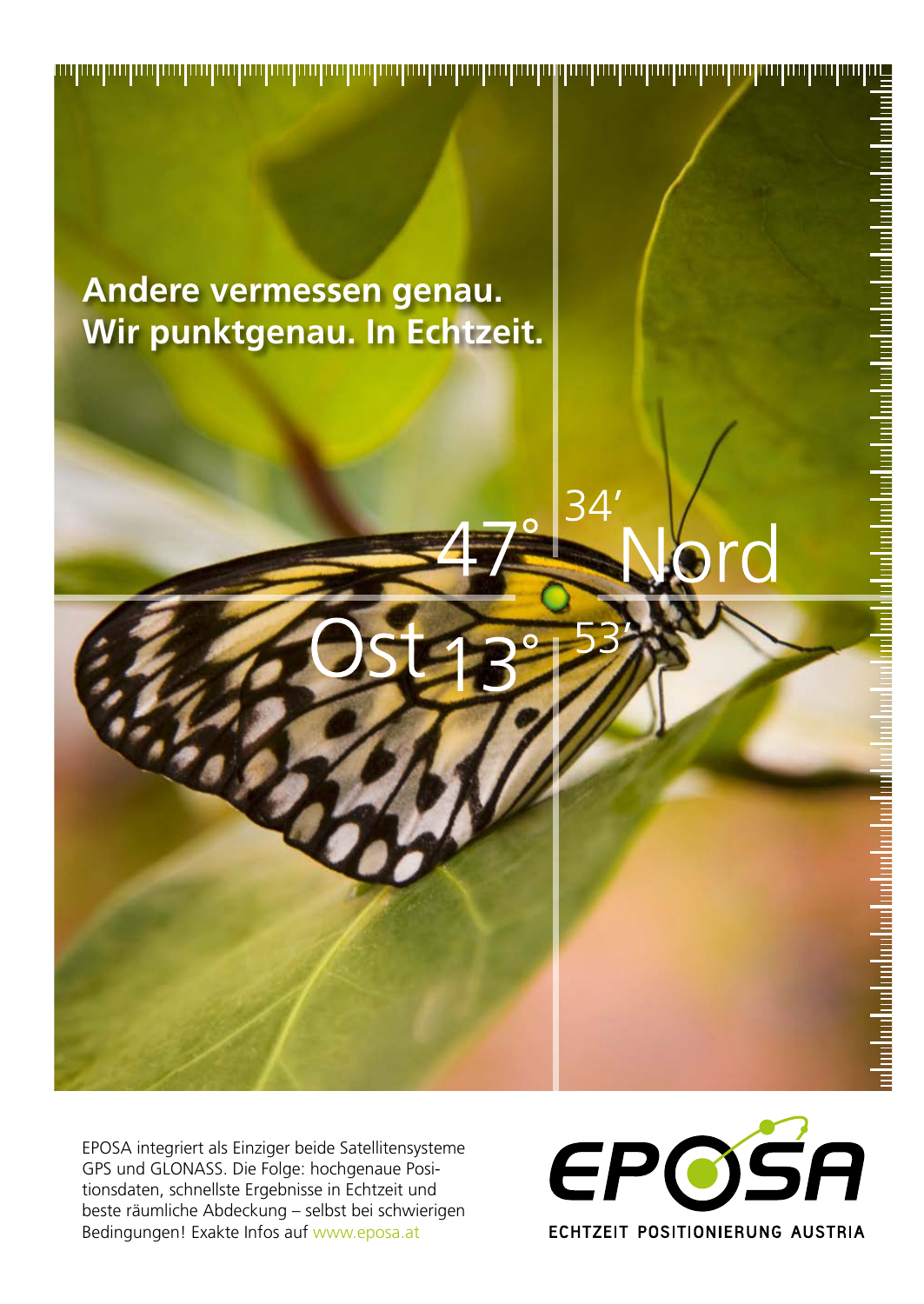EPOSA integriert als Einziger beide Satellitensysteme GPS und GLONASS. Die Folge: hochgenaue Positionsdaten, schnellste Ergebnisse in Echtzeit und beste räumliche Abdeckung – selbst bei schwierigen Bedingungen! Exakte Infos auf www.eposa.at



وباست لمقاربهما ومارهما ومباهما ومباهما ومارهما ومارهما ومباهدا ومارها ومباريهما ومناسبات

المماهيات والماميات والمواقية المواقيع والمواقي والمواقي

**Andere vermessen genau. Wir punktgenau. In Echtzeit.**